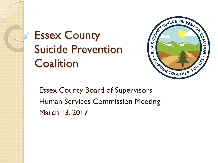#### Essex County Suicide Prevention **Coalition**



Essex County Board of Supervisors Human Services Commission Meeting March 13, 2017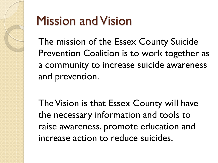

### Mission and Vision

The mission of the Essex County Suicide Prevention Coalition is to work together as a community to increase suicide awareness and prevention.

The Vision is that Essex County will have the necessary information and tools to raise awareness, promote education and increase action to reduce suicides.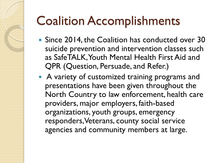- Since 2014, the Coalition has conducted over 30 suicide prevention and intervention classes such as SafeTALK, Youth Mental Health First Aid and QPR (Question, Persuade, and Refer.)
- A variety of customized training programs and presentations have been given throughout the North Country to law enforcement, health care providers, major employers, faith-based organizations, youth groups, emergency responders, Veterans, county social service agencies and community members at large.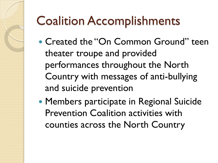- Created the "On Common Ground" teen theater troupe and provided performances throughout the North Country with messages of anti-bullying and suicide prevention
- Members participate in Regional Suicide Prevention Coalition activities with counties across the North Country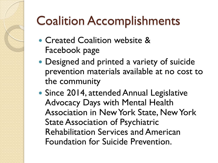- Created Coalition website & Facebook page
- Designed and printed a variety of suicide prevention materials available at no cost to the community
- Since 2014, attended Annual Legislative Advocacy Days with Mental Health Association in New York State, New York State Association of Psychiatric Rehabilitation Services and American Foundation for Suicide Prevention.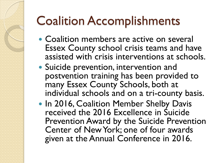- Coalition members are active on several Essex County school crisis teams and have assisted with crisis interventions at schools.
- Suicide prevention, intervention and postvention training has been provided to many Essex County Schools, both at individual schools and on a tri-county basis.
- In 2016, Coalition Member Shelby Davis received the 2016 Excellence in Suicide Prevention Award by the Suicide Prevention Center of New York; one of four awards given at the Annual Conference in 2016.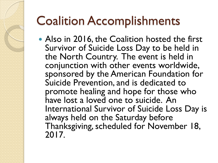• Also in 2016, the Coalition hosted the first Survivor of Suicide Loss Day to be held in the North Country. The event is held in conjunction with other events worldwide, sponsored by the American Foundation for Suicide Prevention, and is dedicated to promote healing and hope for those who have lost a loved one to suicide. An International Survivor of Suicide Loss Day is always held on the Saturday before Thanksgiving, scheduled for November 18, 2017.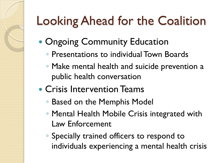# Looking Ahead for the Coalition

- Ongoing Community Education
	- Presentations to individual Town Boards
	- Make mental health and suicide prevention a public health conversation
- Crisis Intervention Teams
	- Based on the Memphis Model
	- Mental Health Mobile Crisis integrated with Law Enforcement
	- Specially trained officers to respond to individuals experiencing a mental health crisis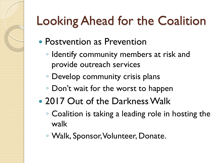# Looking Ahead for the Coalition

- Postvention as Prevention
	- Identify community members at risk and provide outreach services
	- Develop community crisis plans
	- Don't wait for the worst to happen
- 2017 Out of the Darkness Walk
	- Coalition is taking a leading role in hosting the walk
	- Walk, Sponsor, Volunteer, Donate.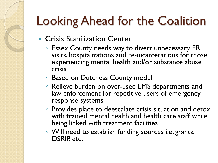## Looking Ahead for the Coalition

- Crisis Stabilization Center
	- Essex County needs way to divert unnecessary ER visits, hospitalizations and re-incarcerations for those experiencing mental health and/or substance abuse crisis
	- Based on Dutchess County model
	- Relieve burden on over-used EMS departments and law enforcement for repetitive users of emergency response systems
	- Provides place to deescalate crisis situation and detox with trained mental health and health care staff while being linked with treatment facilities
	- Will need to establish funding sources i.e. grants, DSRIP, etc.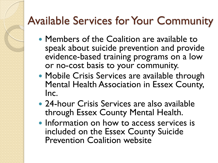#### Available Services for Your Community

- Members of the Coalition are available to speak about suicide prevention and provide evidence-based training programs on a low or no-cost basis to your community.
- Mobile Crisis Services are available through Mental Health Association in Essex County, Inc.
- 24-hour Crisis Services are also available through Essex County Mental Health.
- Information on how to access services is included on the Essex County Suicide Prevention Coalition website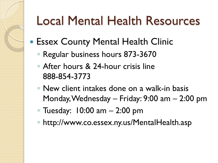### Local Mental Health Resources

- Essex County Mental Health Clinic
	- Regular business hours 873-3670
	- After hours & 24-hour crisis line 888-854-3773
	- New client intakes done on a walk-in basis Monday, Wednesday – Friday: 9:00 am – 2:00 pm
	- Tuesday: 10:00 am 2:00 pm
	- http://www.co.essex.ny.us/MentalHealth.asp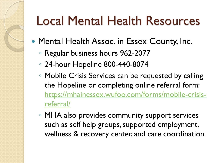## Local Mental Health Resources

- Mental Health Assoc. in Essex County, Inc.
	- Regular business hours 962-2077
	- 24-hour Hopeline 800-440-8074
	- Mobile Crisis Services can be requested by calling the Hopeline or completing online referral form: [https://mhainessex.wufoo.com/forms/mobile-crisis](https://mhainessex.wufoo.com/forms/mobile-crisis-referral/)referral/
	- MHA also provides community support services such as self help groups, supported employment, wellness & recovery center, and care coordination.